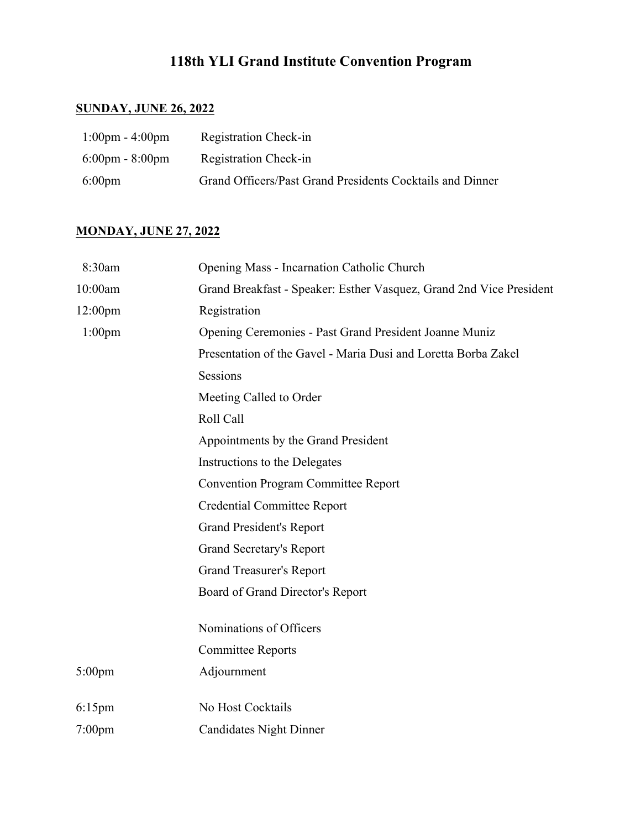# **118th YLI Grand Institute Convention Program**

## **SUNDAY, JUNE 26, 2022**

| $1:00 \text{pm} - 4:00 \text{pm}$ | Registration Check-in                                     |
|-----------------------------------|-----------------------------------------------------------|
| $6:00 \text{pm} - 8:00 \text{pm}$ | <b>Registration Check-in</b>                              |
| $6:00 \text{pm}$                  | Grand Officers/Past Grand Presidents Cocktails and Dinner |

## **MONDAY, JUNE 27, 2022**

| 8:30am                              | Opening Mass - Incarnation Catholic Church                          |  |
|-------------------------------------|---------------------------------------------------------------------|--|
| 10:00am                             | Grand Breakfast - Speaker: Esther Vasquez, Grand 2nd Vice President |  |
| 12:00 <sub>pm</sub>                 | Registration                                                        |  |
| $1:00$ pm                           | Opening Ceremonies - Past Grand President Joanne Muniz              |  |
|                                     | Presentation of the Gavel - Maria Dusi and Loretta Borba Zakel      |  |
|                                     | Sessions                                                            |  |
|                                     | Meeting Called to Order                                             |  |
|                                     | Roll Call                                                           |  |
| Appointments by the Grand President |                                                                     |  |
| Instructions to the Delegates       |                                                                     |  |
|                                     | <b>Convention Program Committee Report</b>                          |  |
| <b>Credential Committee Report</b>  |                                                                     |  |
|                                     | <b>Grand President's Report</b>                                     |  |
| Grand Secretary's Report            |                                                                     |  |
|                                     | <b>Grand Treasurer's Report</b>                                     |  |
|                                     | Board of Grand Director's Report                                    |  |
|                                     | Nominations of Officers                                             |  |
|                                     | <b>Committee Reports</b>                                            |  |
| $5:00$ pm                           | Adjournment                                                         |  |
|                                     |                                                                     |  |
| $6:15$ pm                           | No Host Cocktails                                                   |  |
| $7:00$ pm                           | <b>Candidates Night Dinner</b>                                      |  |
|                                     |                                                                     |  |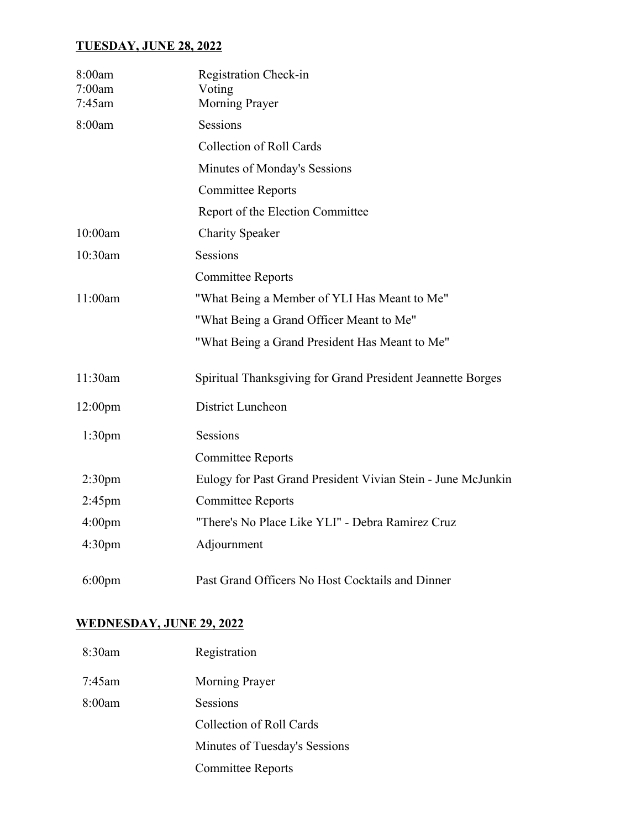#### **TUESDAY, JUNE 28, 2022**

| 8:00am<br>7:00am<br>7:45am | Registration Check-in<br>Voting<br><b>Morning Prayer</b>     |
|----------------------------|--------------------------------------------------------------|
| 8:00am                     | Sessions                                                     |
|                            | <b>Collection of Roll Cards</b>                              |
|                            | Minutes of Monday's Sessions                                 |
|                            | <b>Committee Reports</b>                                     |
|                            | Report of the Election Committee                             |
| 10:00am                    | <b>Charity Speaker</b>                                       |
| 10:30am                    | <b>Sessions</b>                                              |
|                            | <b>Committee Reports</b>                                     |
| 11:00am                    | "What Being a Member of YLI Has Meant to Me"                 |
|                            | "What Being a Grand Officer Meant to Me"                     |
|                            | "What Being a Grand President Has Meant to Me"               |
| 11:30am                    | Spiritual Thanksgiving for Grand President Jeannette Borges  |
| 12:00 <sub>pm</sub>        | District Luncheon                                            |
| 1:30 <sub>pm</sub>         | Sessions                                                     |
|                            | <b>Committee Reports</b>                                     |
| 2:30 <sub>pm</sub>         | Eulogy for Past Grand President Vivian Stein - June McJunkin |
| $2:45$ pm                  | <b>Committee Reports</b>                                     |
| 4:00 <sub>pm</sub>         | "There's No Place Like YLI" - Debra Ramirez Cruz             |
| 4:30 <sub>pm</sub>         | Adjournment                                                  |
| $6:00$ pm                  | Past Grand Officers No Host Cocktails and Dinner             |

#### **WEDNESDAY, JUNE 29, 2022**

| 8:30am    | Registration                  |
|-----------|-------------------------------|
| $7:45$ am | Morning Prayer                |
| 8:00am    | Sessions                      |
|           | Collection of Roll Cards      |
|           | Minutes of Tuesday's Sessions |
|           | <b>Committee Reports</b>      |